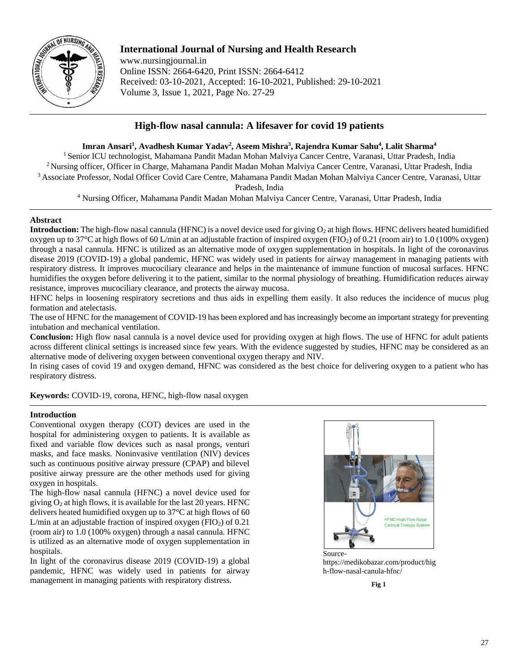

# **International Journal of Nursing and Health Research**

www.nursingjournal.in Online ISSN: 2664-6420, Print ISSN: 2664-6412 Received: 03-10-2021, Accepted: 16-10-2021, Published: 29-10-2021 Volume 3, Issue 1, 2021, Page No. 27-29

## **High-flow nasal cannula: A lifesaver for covid 19 patients**

## **Imran Ansari<sup>1</sup> , Avadhesh Kumar Yadav<sup>2</sup> , Aseem Mishra<sup>3</sup> , Rajendra Kumar Sahu<sup>4</sup> , Lalit Sharma<sup>4</sup>**

<sup>1</sup> Senior ICU technologist, Mahamana Pandit Madan Mohan Malviya Cancer Centre, Varanasi, Uttar Pradesh, India <sup>2</sup>Nursing officer, Officer in Charge, Mahamana Pandit Madan Mohan Malviya Cancer Centre, Varanasi, Uttar Pradesh, India <sup>3</sup>Associate Professor, Nodal Officer Covid Care Centre, Mahamana Pandit Madan Mohan Malviya Cancer Centre, Varanasi, Uttar

Pradesh, India

<sup>4</sup> Nursing Officer, Mahamana Pandit Madan Mohan Malviya Cancer Centre, Varanasi, Uttar Pradesh, India

## **Abstract**

**Introduction:** The high-flow nasal cannula (HFNC) is a novel device used for giving O<sub>2</sub> at high flows. HFNC delivers heated humidified oxygen up to 37°C at high flows of 60 L/min at an adjustable fraction of inspired oxygen (FIO2) of 0.21 (room air) to 1.0 (100% oxygen) through a nasal cannula. HFNC is utilized as an alternative mode of oxygen supplementation in hospitals. In light of the coronavirus disease 2019 (COVID-19) a global pandemic, HFNC was widely used in patients for airway management in managing patients with respiratory distress. It improves mucociliary clearance and helps in the maintenance of immune function of mucosal surfaces. HFNC humidifies the oxygen before delivering it to the patient, similar to the normal physiology of breathing. Humidification reduces airway resistance, improves mucociliary clearance, and protects the airway mucosa.

HFNC helps in loosening respiratory secretions and thus aids in expelling them easily. It also reduces the incidence of mucus plug formation and atelectasis.

The use of HFNC for the management of COVID-19 has been explored and has increasingly become an important strategy for preventing intubation and mechanical ventilation.

**Conclusion:** High flow nasal cannula is a novel device used for providing oxygen at high flows. The use of HFNC for adult patients across different clinical settings is increased since few years. With the evidence suggested by studies, HFNC may be considered as an alternative mode of delivering oxygen between conventional oxygen therapy and NIV.

In rising cases of covid 19 and oxygen demand, HFNC was considered as the best choice for delivering oxygen to a patient who has respiratory distress.

**Keywords:** COVID-19, corona, HFNC, high-flow nasal oxygen

### **Introduction**

Conventional oxygen therapy (COT) devices are used in the hospital for administering oxygen to patients. It is available as fixed and variable flow devices such as nasal prongs, venturi masks, and face masks. Noninvasive ventilation (NIV) devices such as continuous positive airway pressure (CPAP) and bilevel positive airway pressure are the other methods used for giving oxygen in hospitals.

The high-flow nasal cannula (HFNC) a novel device used for giving  $O_2$  at high flows, it is available for the last 20 years. HFNC delivers heated humidified oxygen up to 37°C at high flows of 60 L/min at an adjustable fraction of inspired oxygen  $(FIO<sub>2</sub>)$  of 0.21 (room air) to 1.0 (100% oxygen) through a nasal cannula. HFNC is utilized as an alternative mode of oxygen supplementation in hospitals.

In light of the coronavirus disease 2019 (COVID-19) a global pandemic, HFNC was widely used in patients for airway management in managing patients with respiratory distress.



Sourcehttps://medikobazar.com/product/hig h-flow-nasal-canula-hfnc/

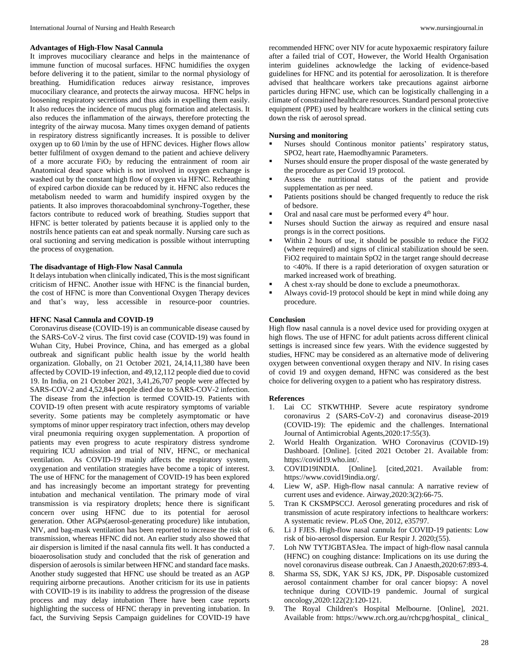#### **Advantages of High-Flow Nasal Cannula**

It improves mucociliary clearance and helps in the maintenance of immune function of mucosal surfaces. HFNC humidifies the oxygen before delivering it to the patient, similar to the normal physiology of breathing. Humidification reduces airway resistance, improves mucociliary clearance, and protects the airway mucosa. HFNC helps in loosening respiratory secretions and thus aids in expelling them easily. It also reduces the incidence of mucus plug formation and atelectasis. It also reduces the inflammation of the airways, therefore protecting the integrity of the airway mucosa. Many times oxygen demand of patients in respiratory distress significantly increases. It is possible to deliver oxygen up to 60 l/min by the use of HFNC devices. Higher flows allow better fulfilment of oxygen demand to the patient and achieve delivery of a more accurate FiO<sup>2</sup> by reducing the entrainment of room air Anatomical dead space which is not involved in oxygen exchange is washed out by the constant high flow of oxygen via HFNC. Rebreathing of expired carbon dioxide can be reduced by it. HFNC also reduces the metabolism needed to warm and humidify inspired oxygen by the patients. It also improves thoracoabdominal synchrony-Together, these factors contribute to reduced work of breathing. Studies support that HFNC is better tolerated by patients because it is applied only to the nostrils hence patients can eat and speak normally. Nursing care such as oral suctioning and serving medication is possible without interrupting the process of oxygenation.

#### **The disadvantage of High-Flow Nasal Cannula**

It delays intubation when clinically indicated, This is the most significant criticism of HFNC. Another issue with HFNC is the financial burden, the cost of HFNC is more than Conventional Oxygen Therapy devices and that's way, less accessible in resource-poor countries.

#### **HFNC Nasal Cannula and COVID-19**

Coronavirus disease (COVID-19) is an communicable disease caused by the SARS-CoV-2 virus. The first covid case (COVID-19) was found in Wuhan City, Hubei Province, China, and has emerged as a global outbreak and significant public health issue by the world health organization. Globally, on 21 October 2021, 24,14,11,380 have been affected by COVID-19 infection, and 49,12,112 people died due to covid 19. In India, on 21 October 2021, 3,41,26,707 people were affected by SARS-COV-2 and 4,52,844 people died due to SARS-COV-2 infection. The disease from the infection is termed COVID-19. Patients with COVID-19 often present with acute respiratory symptoms of variable severity. Some patients may be completely asymptomatic or have symptoms of minor upper respiratory tract infection, others may develop viral pneumonia requiring oxygen supplementation. A proportion of patients may even progress to acute respiratory distress syndrome requiring ICU admission and trial of NIV, HFNC, or mechanical ventilation. As COVID-19 mainly affects the respiratory system, oxygenation and ventilation strategies have become a topic of interest. The use of HFNC for the management of COVID-19 has been explored and has increasingly become an important strategy for preventing intubation and mechanical ventilation. The primary mode of viral transmission is via respiratory droplets; hence there is significant concern over using HFNC due to its potential for aerosol generation. Other AGPs(aerosol-generating procedure) like intubation, NIV, and bag-mask ventilation has been reported to increase the risk of transmission, whereas HFNC did not. An earlier study also showed that air dispersion is limited if the nasal cannula fits well. It has conducted a bioaerosolisation study and concluded that the risk of generation and dispersion of aerosols is similar between HFNC and standard face masks. Another study suggested that HFNC use should be treated as an AGP requiring airborne precautions. Another criticism for its use in patients with COVID-19 is its inability to address the progression of the disease process and may delay intubation There have been case reports highlighting the success of HFNC therapy in preventing intubation. In fact, the Surviving Sepsis Campaign guidelines for COVID-19 have

recommended HFNC over NIV for acute hypoxaemic respiratory failure after a failed trial of COT, However, the World Health Organisation interim guidelines acknowledge the lacking of evidence-based guidelines for HFNC and its potential for aerosolization. It is therefore advised that healthcare workers take precautions against airborne particles during HFNC use, which can be logistically challenging in a climate of constrained healthcare resources. Standard personal protective equipment (PPE) used by healthcare workers in the clinical setting cuts down the risk of aerosol spread.

#### **Nursing and monitoring**

- Nurses should Continous monitor patients' respiratory status, SPO2, heart rate, Haemodhyamnic Parameters.
- Nurses should ensure the proper disposal of the waste generated by the procedure as per Covid 19 protocol.
- Assess the nutritional status of the patient and provide supplementation as per need.
- Patients positions should be changed frequently to reduce the risk of bedsore.
- $\blacksquare$  Oral and nasal care must be performed every  $4<sup>th</sup>$  hour.
- Nurses should Suction the airway as required and ensure nasal prongs is in the correct positions.
- Within 2 hours of use, it should be possible to reduce the FiO2 (where required) and signs of clinical stabilization should be seen. FiO2 required to maintain SpO2 in the target range should decrease to <40%. If there is a rapid deterioration of oxygen saturation or marked increased work of breathing.
- A chest x-ray should be done to exclude a pneumothorax.
- Always covid-19 protocol should be kept in mind while doing any procedure.

#### **Conclusion**

High flow nasal cannula is a novel device used for providing oxygen at high flows. The use of HFNC for adult patients across different clinical settings is increased since few years. With the evidence suggested by studies, HFNC may be considered as an alternative mode of delivering oxygen between conventional oxygen therapy and NIV. In rising cases of covid 19 and oxygen demand, HFNC was considered as the best choice for delivering oxygen to a patient who has respiratory distress.

#### **References**

- 1. Lai CC STKWTHHP. Severe acute respiratory syndrome coronavirus 2 (SARS-CoV-2) and coronavirus disease-2019 (COVID-19): The epidemic and the challenges. International Journal of Antimicrobial Agents,2020:17:55(3).
- 2. World Health Organization. WHO Coronavirus (COVID-19) Dashboard. [Online]. [cited 2021 October 21. Available from: https://covid19.who.int/.
- 3. COVID19INDIA. [Online]. [cited,2021. Available from: https://www.covid19india.org/.
- 4. Liew W, aSP. High-flow nasal cannula: A narrative review of current uses and evidence. Airway,2020:3(2):66-75.
- 5. Tran K CKSMPSCCJ. Aerosol generating procedures and risk of transmission of acute respiratory infections to healthcare workers: A systematic review. PLoS One, 2012, e35797.
- 6. Li J FJES. High-flow nasal cannula for COVID-19 patients: Low risk of bio-aerosol dispersion. Eur Respir J. 2020;(55).
- 7. Loh NW TYTJGBTASJea. The impact of high-flow nasal cannula (HFNC) on coughing distance: Implications on its use during the novel coronavirus disease outbreak. Can J Anaesth,2020:67:893-4.
- 8. Sharma SS, SDK, YAK SJ KS, JDK, PP. Disposable customized aerosol containment chamber for oral cancer biopsy: A novel technique during COVID-19 pandemic. Journal of surgical oncology,2020:122(2):120-121.
- 9. The Royal Children's Hospital Melbourne. [Online], 2021. Available from: https://www.rch.org.au/rchcpg/hospital\_ clinical\_